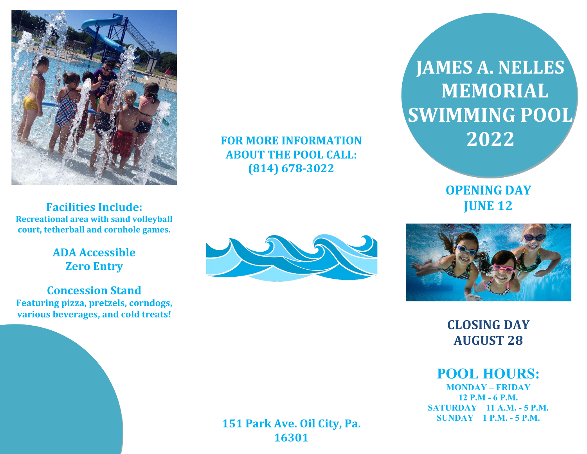

**FOR MORE INFORMATION ABOUT THE POOL CALL: (814) 678-3022**

 **JAMES A. NELLES MEMORIAL SWIMMING POOL 2022**

> **OPENING DAY JUNE 12**

**Facilities Include: Recreational area with sand volleyball court, tetherball and cornhole games.**

> **ADA Accessible Zero Entry**

**Concession Stand Featuring pizza, pretzels, corndogs, various beverages, and cold treats!**





**CLOSING DAY AUGUST 28**

**POOL HOURS: MONDAY – FRIDAY**

**12 P.M - 6 P.M. SATURDAY 11 A.M. - 5 P.M. SUNDAY 1 P.M. - 5 P.M.**

**151 Park Ave. Oil City, Pa. 16301**